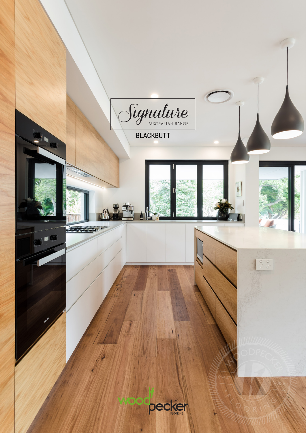